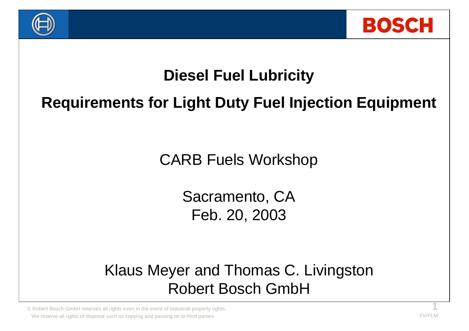



### **Diesel Fuel Lubricity**

### **Requirements for Light Duty Fuel Injection Equipment**

CARB Fuels Workshop

Sacramento, CA Feb. 20, 2003

Klaus Meyer and Thomas C. Livingston Robert Bosch GmbH

© Robert Bosch GmbH reserves all rights even in the event of industrial property rights. 1 We reserve all rights of disposal such as copying and passing on to third parties. FORE THE CONSTRANT CONSTRANT CONSTRANT CONSTRANT CONSTRANT CONSTRANT CONSTRANT CONSTRANT CONSTRANT CONSTRANT CONSTRANT CONSTRANT CONSTRANT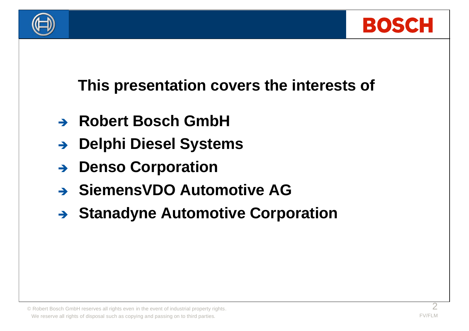



### **This presentation covers the interests of**

- $\rightarrow$  **Robert Bosch GmbH**
- **→ Delphi Diesel Systems**
- <sup>Ë</sup> **Denso Corporation**
- **→ SiemensVDO Automotive AG**
- **→ Stanadyne Automotive Corporation**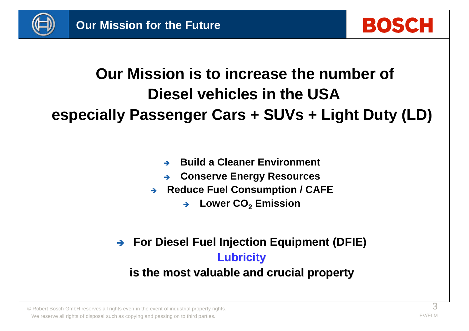

### **Our Mission is to increase the number of Diesel vehicles in the USA especially Passenger Cars + SUVs + Light Duty (LD)**

- <sup>Ë</sup> **Build a Cleaner Environment**
- **Conserve Energy Resources**
- **→ Reduce Fuel Consumption / CAFE** 
	- → Lower CO<sub>2</sub> Emission
- **→ For Diesel Fuel Injection Equipment (DFIE) Lubricity**

#### **is the most valuable and crucial property**

 $\circledcirc$  Robert Bosch GmbH reserves all rights even in the event of industrial property rights.  $\circledcirc$ We reserve all rights of disposal such as copying and passing on to third parties.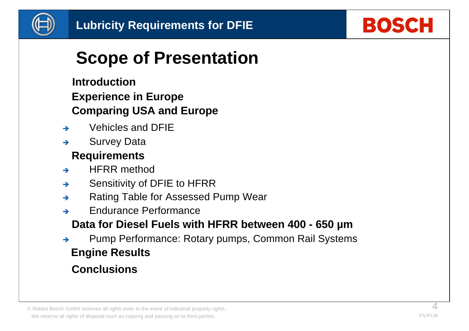

## **BOSCH**

## **Scope of Presentation**

### **Introduction Experience in Europe Comparing USA and Europe**

- $\rightarrow$  Vehicles and DFIF
- $\rightarrow$  Survey Data

### **Requirements**

- $\rightarrow$  HFRR method
- $\rightarrow$  Sensitivity of DFIE to HFRR
- → Rating Table for Assessed Pump Wear
- $\rightarrow$  Endurance Performance

### **Data for Diesel Fuels with HFRR between 400 - 650 µm**

A Pump Performance: Rotary pumps, Common Rail Systems **Engine Results**

### **Conclusions**

© Robert Bosch GmbH reserves all rights even in the event of industrial property rights. 4 We reserve all rights of disposal such as copying and passing on to third parties.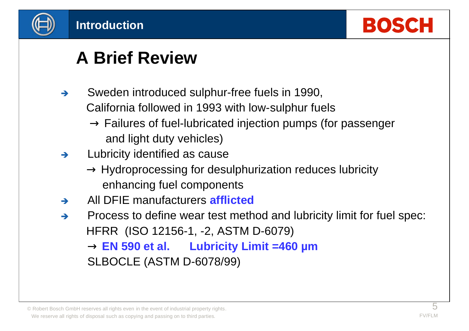



## **A Brief Review**

- $\rightarrow$  Sweden introduced sulphur-free fuels in 1990, California followed in 1993 with low-sulphur fuels
	- $\rightarrow$  Failures of fuel-lubricated injection pumps (for passenger and light duty vehicles)
- $\rightarrow$  Lubricity identified as cause
	- $\rightarrow$  Hydroprocessing for desulphurization reduces lubricity enhancing fuel components
- <sup>Ë</sup> All DFIE manufacturers **afflicted**
- $\rightarrow$  Process to define wear test method and lubricity limit for fuel spec: HFRR (ISO 12156-1, -2, ASTM D-6079) **® EN 590 et al. Lubricity Limit =460 µm**
	- SLBOCLE (ASTM D-6078/99)

<sup>©</sup> Robert Bosch GmbH reserves all rights even in the event of industrial property rights.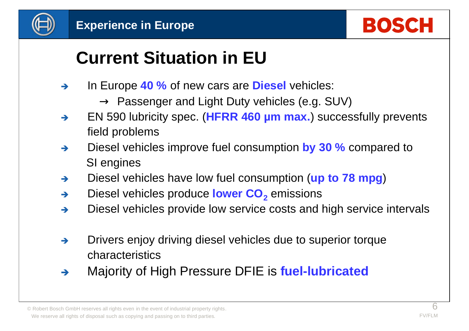



## **Current Situation in EU**

- → In Europe 40 % of new cars are **Diesel** vehicles:
	- $\rightarrow$  Passenger and Light Duty vehicles (e.g. SUV)
- → EN 590 lubricity spec. (HFRR 460 µm max.) successfully prevents field problems
- → Diesel vehicles improve fuel consumption **by 30 %** compared to SI engines
- → Diesel vehicles have low fuel consumption (up to 78 mpg)
- → Diesel vehicles produce lower CO<sub>2</sub> emissions
- $\rightarrow$  Diesel vehicles provide low service costs and high service intervals
- $\rightarrow$  Drivers enjoy driving diesel vehicles due to superior torque characteristics
- **EXALUTE:** Majority of High Pressure DFIE is **fuel-lubricated**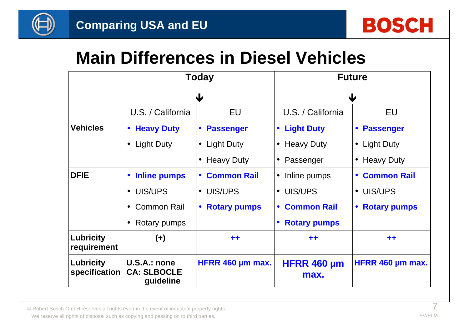



### **Main Differences in Diesel Vehicles**

|                                   | <b>Today</b><br>$\bigcup$                       |                                  | <b>Future</b><br>Ψ             |                                  |  |
|-----------------------------------|-------------------------------------------------|----------------------------------|--------------------------------|----------------------------------|--|
|                                   |                                                 |                                  |                                |                                  |  |
|                                   | U.S. / California                               | <b>EU</b>                        | U.S. / California              | EU                               |  |
| <b>Vehicles</b>                   | <b>Heavy Duty</b><br>$\bullet$                  | <b>Passenger</b><br>$\bullet$    | <b>Light Duty</b><br>$\bullet$ | <b>Passenger</b>                 |  |
|                                   | Light Duty<br>$\bullet$                         | $\bullet$ Light Duty             | <b>Heavy Duty</b><br>$\bullet$ | <b>Light Duty</b><br>$\bullet$   |  |
|                                   |                                                 | <b>Heavy Duty</b>                | Passenger                      | <b>Heavy Duty</b>                |  |
| <b>DFIE</b>                       | <b>Inline pumps</b><br>$\bullet$                | <b>Common Rail</b><br>$\bullet$  | Inline pumps<br>$\bullet$      | <b>Common Rail</b><br>$\bullet$  |  |
|                                   | UIS/UPS<br>$\bullet$                            | UIS/UPS                          | UIS/UPS<br>$\bullet$           | UIS/UPS<br>$\bullet$             |  |
|                                   | <b>Common Rail</b><br>$\bullet$                 | <b>Rotary pumps</b><br>$\bullet$ | <b>Common Rail</b>             | <b>Rotary pumps</b><br>$\bullet$ |  |
|                                   | Rotary pumps                                    |                                  | <b>Rotary pumps</b>            |                                  |  |
| <b>Lubricity</b><br>requirement   | $(+)$                                           | $+ +$                            | $+ +$                          | $^{\tiny{++}}$                   |  |
| <b>Lubricity</b><br>specification | U.S.A.: none<br><b>CA: SLBOCLE</b><br>guideline | HFRR 460 µm max.                 | HFRR 460 µm<br>max.            | HFRR 460 µm max.                 |  |

© Robert Bosch GmbH reserves all rights even in the event of industrial property rights. 7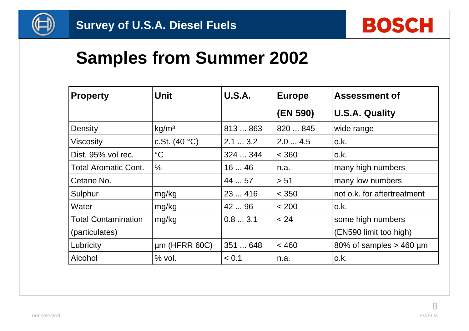

### **Samples from Summer 2002**

| <b>Property</b>             | <b>Unit</b>       | <b>U.S.A.</b> | <b>Europe</b> | <b>Assessment of</b>        |
|-----------------------------|-------------------|---------------|---------------|-----------------------------|
|                             |                   |               | (EN 590)      | <b>U.S.A. Quality</b>       |
| Density                     | kg/m <sup>3</sup> | 813  863      | 820  845      | wide range                  |
| <b>Viscosity</b>            | c.St. $(40 °C)$   | $2.1$ $3.2$   | 2.04.5        | o.k.                        |
| Dist. 95% vol rec.          | $\rm ^{\circ}C$   | 324  344      | < 360         | o.k.                        |
| <b>Total Aromatic Cont.</b> | $\frac{0}{0}$     | 1646          | n.a.          | many high numbers           |
| Cetane No.                  |                   | 44  57        | > 51          | many low numbers            |
| Sulphur                     | mg/kg             | 23416         | < 350         | not o.k. for aftertreatment |
| Water                       | mg/kg             | 42  96        | < 200         | o.k.                        |
| <b>Total Contamination</b>  | mg/kg             | 0.83.1        | < 24          | some high numbers           |
| (particulates)              |                   |               |               | (EN590 limit too high)      |
| Lubricity                   | $µm$ (HFRR 60C)   | 351  648      | < 460         | 80% of samples $>$ 460 µm   |
| Alcohol                     | $%$ vol.          | < 0.1         | n.a.          | o.k.                        |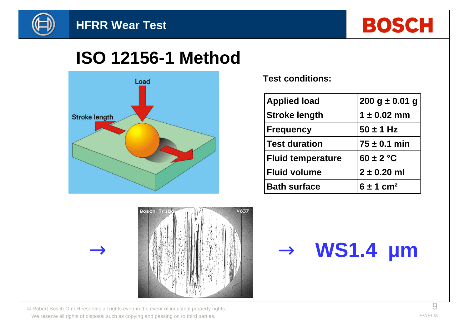



### **ISO 12156-1 Method**



**Test conditions:**

| <b>Applied load</b>      | $200 g \pm 0.01 g$        |  |  |
|--------------------------|---------------------------|--|--|
| <b>Stroke length</b>     | $1 \pm 0.02$ mm           |  |  |
| <b>Frequency</b>         | $50 \pm 1$ Hz             |  |  |
| <b>Test duration</b>     | $75 \pm 0.1$ min          |  |  |
| <b>Fluid temperature</b> | $60 \pm 2$ °C             |  |  |
| <b>Fluid volume</b>      | $2 \pm 0.20$ ml           |  |  |
| <b>Bath surface</b>      | $6 \pm 1$ cm <sup>2</sup> |  |  |



# **® ® WS1.4 µm**

 $\circledcirc$  Robert Bosch GmbH reserves all rights even in the event of industrial property rights. We reserve all rights of disposal such as copying and passing on to third parties.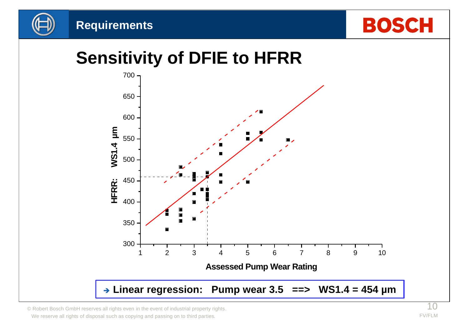





## **Sensitivity of DFIE to HFRR**



© Robert Bosch GmbH reserves all rights even in the event of industrial property rights. We reserve all rights of disposal such as copying and passing on to third parties.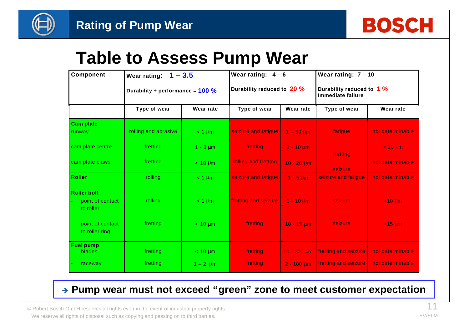

### **Table to Assess Pump Wear**

| <b>Component</b>                                    | Wear rating: $1 - 3.5$              |               | Wear rating: $4-6$         |                  | Wear rating: $7 - 10$                          |                  |
|-----------------------------------------------------|-------------------------------------|---------------|----------------------------|------------------|------------------------------------------------|------------------|
|                                                     | Durability + performance = $100 \%$ |               | Durability reduced to 20 % |                  | Durability reduced to 1 %<br>Immediate failure |                  |
|                                                     | Type of wear                        | Wear rate     | Type of wear               | Wear rate        | Type of wear                                   | <b>Wear rate</b> |
| <b>Cam plate</b><br>runway                          | rolling and abrasive                | $< 1 \mu m$   | seizure and fatigue        | $1 - 30 \mu m$   | fatigue                                        | not determinable |
| cam plate centre                                    | fretting                            | $1 - 3 \mu m$ | fretting                   | $3 - 10 \mu m$   | fretting                                       | $> 10 \mu m$     |
| cam plate claws                                     | fretting                            | $< 10 \mu m$  | rolling and fretting       | $10 - 20 \mu m$  | seizure                                        | not determinable |
| <b>Roller</b>                                       | rolling                             | $< 1 \mu m$   | seizure and fatique        | $1 - 5 \mu m$    | seizure and fatique                            | not determinable |
| <b>Roller bolt</b><br>point of contact<br>to roller | rolling                             | $< 1 \mu m$   | fretting and seizure       | $1 - 10 \mu m$   | seizure                                        | $>10 \mu m$      |
| point of contact<br>to roller ring                  | fretting                            | $< 10 \mu m$  | fretting                   | $10 - 15 \mu m$  | seizure                                        | $>15 \mu m$      |
| <b>Fuel pump</b><br><b>blades</b>                   | fretting                            | $< 10 \mu m$  | fretting                   | $10 - 200 \mu m$ | fretting and seizure                           | not determinable |
| raceway                                             | fretting                            | $1 - 2 \mu m$ | fretting                   | $2 - 100 \mu m$  | fretting and seizure                           | not determinable |

#### **→ Pump wear must not exceed "green" zone to meet customer expectation**

© Robert Bosch GmbH reserves all rights even in the event of industrial property rights. 11 We reserve all rights of disposal such as copying and passing on to third parties.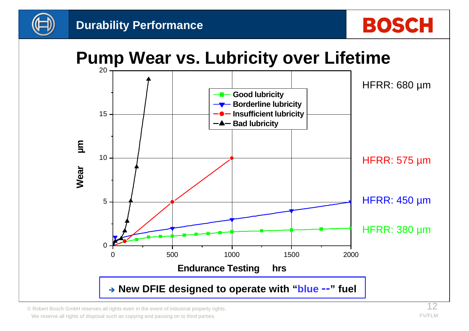

### **Pump Wear vs. Lubricity over Lifetime**



© Robert Bosch GmbH reserves all rights even in the event of industrial property rights.  $12$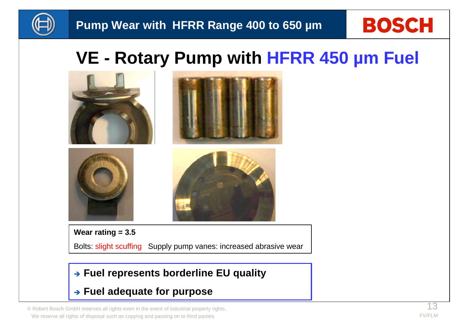

## **VE - Rotary Pump with HFRR 450 µm Fuel**



Bolts: slight scuffing Supply pump vanes: increased abrasive wear

#### **→ Fuel represents borderline EU quality**

**→ Fuel adequate for purpose** 

© Robert Bosch GmbH reserves all rights even in the event of industrial property rights.  $13$ We reserve all rights of disposal such as copying and passing on to third parties.

**BOSCH**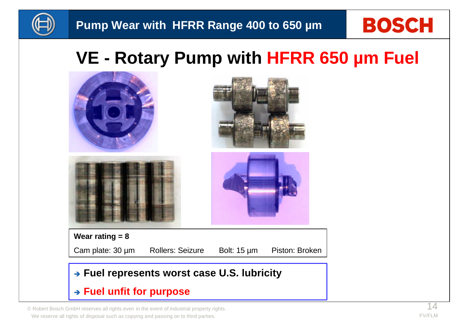

# **BOSCH**

## **VE - Rotary Pump with HFRR 650 µm Fuel**



© Robert Bosch GmbH reserves all rights even in the event of industrial property rights. 14 We reserve all rights of disposal such as copying and passing on to third parties.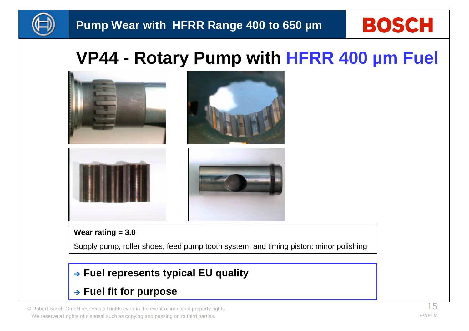

## **VP44 - Rotary Pump with HFRR 400 µm Fuel**



#### **Wear rating = 3.0**

Supply pump, roller shoes, feed pump tooth system, and timing piston: minor polishing

#### **→ Fuel represents typical EU quality**

#### **→ Fuel fit for purpose**

© Robert Bosch GmbH reserves all rights even in the event of industrial property rights.  $15$ We reserve all rights of disposal such as copying and passing on to third parties.

**BOSCH**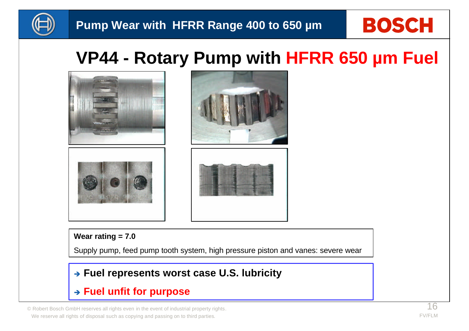

## **VP44 - Rotary Pump with HFRR 650 µm Fuel**



#### **Wear rating = 7.0**

Supply pump, feed pump tooth system, high pressure piston and vanes: severe wear

#### **→ Fuel represents worst case U.S. lubricity**

#### $\rightarrow$  Fuel unfit for purpose

© Robert Bosch GmbH reserves all rights even in the event of industrial property rights.  $16$ We reserve all rights of disposal such as copying and passing on to third parties.

**BOSCH**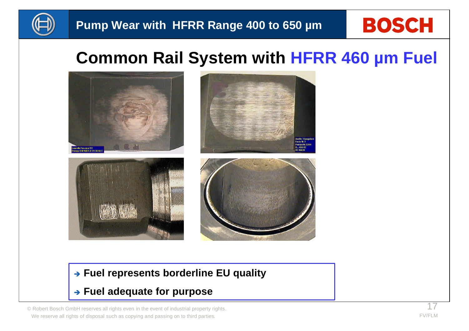

# **BOSCH**

### **Common Rail System with HFRR 460 µm Fuel**



#### **→ Fuel represents borderline EU quality**

#### **→ Fuel adequate for purpose**

© Robert Bosch GmbH reserves all rights even in the event of industrial property rights. 17 We reserve all rights of disposal such as copying and passing on to third parties.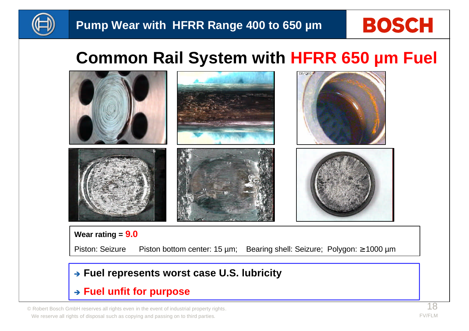

# **BOSCH**

### **Common Rail System with HFRR 650 µm Fuel**



Piston: Seizure Piston bottom center: 15 µm; Bearing shell: Seizure; Polygon: ≥ 1000 µm

#### **→ Fuel represents worst case U.S. lubricity**

#### $\rightarrow$  Fuel unfit for purpose

© Robert Bosch GmbH reserves all rights even in the event of industrial property rights.  $18$ We reserve all rights of disposal such as copying and passing on to third parties.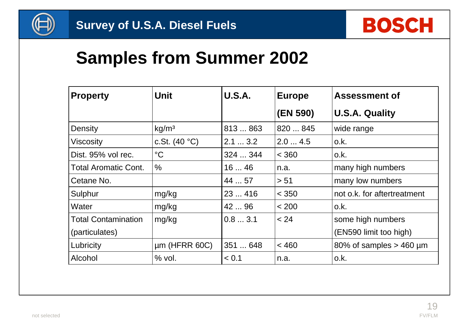

### **Samples from Summer 2002**

| <b>Property</b>             | <b>Unit</b>       | <b>U.S.A.</b> | <b>Europe</b> | <b>Assessment of</b>        |
|-----------------------------|-------------------|---------------|---------------|-----------------------------|
|                             |                   |               | (EN 590)      | <b>U.S.A. Quality</b>       |
| Density                     | kg/m <sup>3</sup> | 813  863      | 820  845      | wide range                  |
| <b>Viscosity</b>            | c.St. $(40 °C)$   | $2.1$ $3.2$   | 2.04.5        | o.k.                        |
| Dist. 95% vol rec.          | $\rm ^{\circ}C$   | 324  344      | < 360         | o.k.                        |
| <b>Total Aromatic Cont.</b> | $\frac{0}{0}$     | 1646          | n.a.          | many high numbers           |
| Cetane No.                  |                   | 44  57        | > 51          | many low numbers            |
| Sulphur                     | mg/kg             | 23416         | < 350         | not o.k. for aftertreatment |
| Water                       | mg/kg             | 42  96        | < 200         | o.k.                        |
| <b>Total Contamination</b>  | mg/kg             | 0.83.1        | < 24          | some high numbers           |
| (particulates)              |                   |               |               | (EN590 limit too high)      |
| Lubricity                   | $µm$ (HFRR 60C)   | 351  648      | < 460         | 80% of samples $>$ 460 µm   |
| Alcohol                     | $%$ vol.          | < 0.1         | n.a.          | o.k.                        |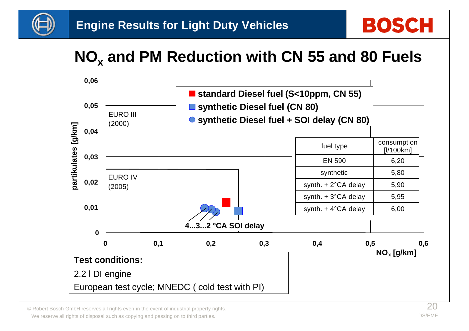

## **NO<sup>x</sup> and PM Reduction with CN 55 and 80 Fuels**



© Robert Bosch GmbH reserves all rights even in the event of industrial property rights.  $20$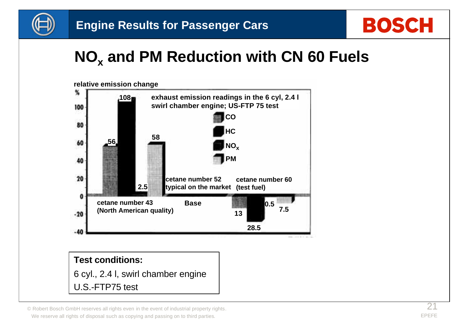



## **NO<sup>x</sup> and PM Reduction with CN 60 Fuels**



6 cyl., 2.4 l, swirl chamber engine U.S.-FTP75 test

© Robert Bosch GmbH reserves all rights even in the event of industrial property rights.  $2<sup>1</sup>$ We reserve all rights of disposal such as copying and passing on to third parties.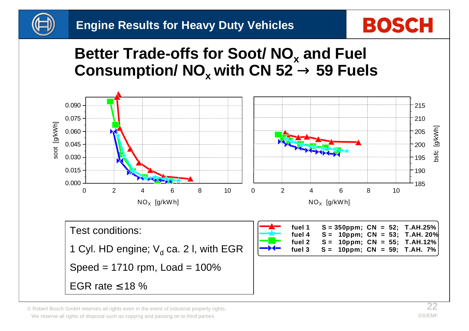

### **Better Trade-offs for Soot/ NO<sup>x</sup> and Fuel Consumption/ NO<sup>x</sup> with CN 52 ® 59 Fuels**



© Robert Bosch GmbH reserves all rights even in the event of industrial property rights.  $22$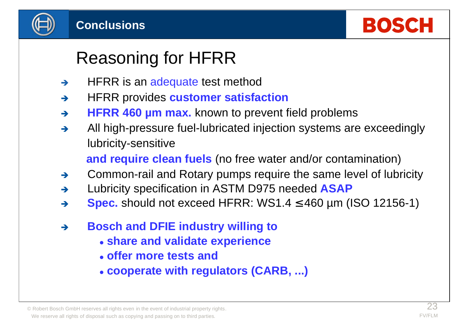



## Reasoning for HFRR

- $\rightarrow$  HFRR is an adequate test method
- $\rightarrow$  HFRR provides **customer satisfaction**
- → **HFRR 460 µm max.** known to prevent field problems
- $\rightarrow$  All high-pressure fuel-lubricated injection systems are exceedingly lubricity-sensitive

 **and require clean fuels** (no free water and/or contamination)

- $\rightarrow$  Common-rail and Rotary pumps require the same level of lubricity
- → Lubricity specification in ASTM D975 needed **ASAP**
- → **Spec.** should not exceed HFRR: WS1.4 **£** 460 µm (ISO 12156-1)
- **→ Bosch and DFIE industry willing to** 
	- <sup>l</sup> **share and validate experience**
	- <sup>l</sup> **offer more tests and**
	- l **cooperate with regulators (CARB, ...)**

© Robert Bosch GmbH reserves all rights even in the event of industrial property rights.  $23$ We reserve all rights of disposal such as copying and passing on to third parties.